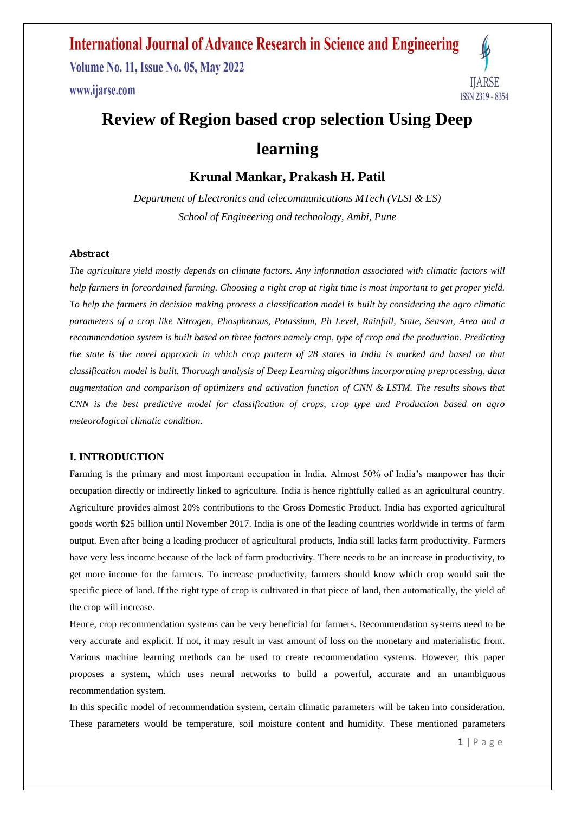**Volume No. 11, Issue No. 05, May 2022** www.ijarse.com



## **Review of Region based crop selection Using Deep learning**

**Krunal Mankar, Prakash H. Patil**

*Department of Electronics and telecommunications MTech (VLSI & ES) School of Engineering and technology, Ambi, Pune*

#### **Abstract**

*The agriculture yield mostly depends on climate factors. Any information associated with climatic factors will help farmers in foreordained farming. Choosing a right crop at right time is most important to get proper yield. To help the farmers in decision making process a classification model is built by considering the agro climatic parameters of a crop like Nitrogen, Phosphorous, Potassium, Ph Level, Rainfall, State, Season, Area and a recommendation system is built based on three factors namely crop, type of crop and the production. Predicting the state is the novel approach in which crop pattern of 28 states in India is marked and based on that classification model is built. Thorough analysis of Deep Learning algorithms incorporating preprocessing, data augmentation and comparison of optimizers and activation function of CNN & LSTM. The results shows that CNN is the best predictive model for classification of crops, crop type and Production based on agro meteorological climatic condition.* 

#### **I. INTRODUCTION**

Farming is the primary and most important occupation in India. Almost 50% of India's manpower has their occupation directly or indirectly linked to agriculture. India is hence rightfully called as an agricultural country. Agriculture provides almost 20% contributions to the Gross Domestic Product. India has exported agricultural goods worth \$25 billion until November 2017. India is one of the leading countries worldwide in terms of farm output. Even after being a leading producer of agricultural products, India still lacks farm productivity. Farmers have very less income because of the lack of farm productivity. There needs to be an increase in productivity, to get more income for the farmers. To increase productivity, farmers should know which crop would suit the specific piece of land. If the right type of crop is cultivated in that piece of land, then automatically, the yield of the crop will increase.

Hence, crop recommendation systems can be very beneficial for farmers. Recommendation systems need to be very accurate and explicit. If not, it may result in vast amount of loss on the monetary and materialistic front. Various machine learning methods can be used to create recommendation systems. However, this paper proposes a system, which uses neural networks to build a powerful, accurate and an unambiguous recommendation system.

In this specific model of recommendation system, certain climatic parameters will be taken into consideration. These parameters would be temperature, soil moisture content and humidity. These mentioned parameters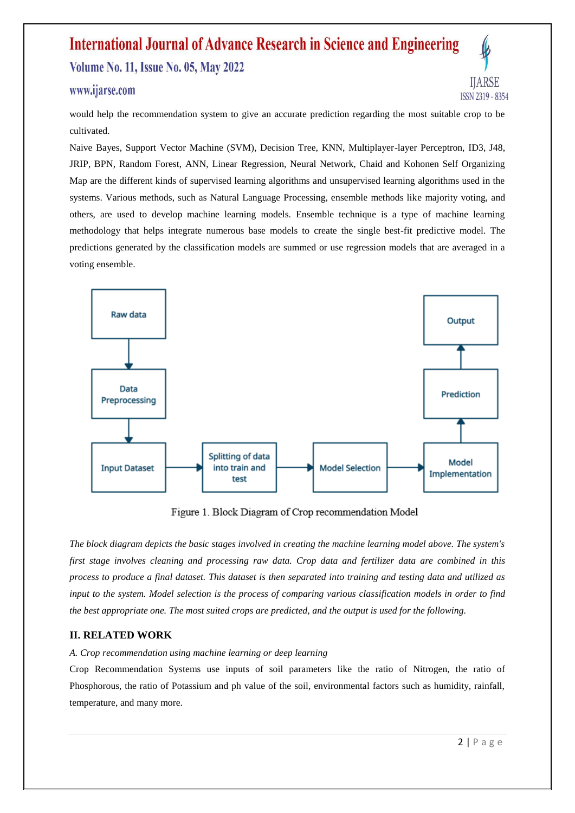### **International Journal of Advance Research in Science and Engineering Volume No. 11, Issue No. 05, May 2022**

### www.ijarse.com

IIARSE ISSN 2319 - 8354

would help the recommendation system to give an accurate prediction regarding the most suitable crop to be cultivated.

Naive Bayes, Support Vector Machine (SVM), Decision Tree, KNN, Multiplayer-layer Perceptron, ID3, J48, JRIP, BPN, Random Forest, ANN, Linear Regression, Neural Network, Chaid and Kohonen Self Organizing Map are the different kinds of supervised learning algorithms and unsupervised learning algorithms used in the systems. Various methods, such as Natural Language Processing, ensemble methods like majority voting, and others, are used to develop machine learning models. Ensemble technique is a type of machine learning methodology that helps integrate numerous base models to create the single best-fit predictive model. The predictions generated by the classification models are summed or use regression models that are averaged in a voting ensemble.



Figure 1. Block Diagram of Crop recommendation Model

*The block diagram depicts the basic stages involved in creating the machine learning model above. The system's first stage involves cleaning and processing raw data. Crop data and fertilizer data are combined in this process to produce a final dataset. This dataset is then separated into training and testing data and utilized as input to the system. Model selection is the process of comparing various classification models in order to find the best appropriate one. The most suited crops are predicted, and the output is used for the following.*

### **II. RELATED WORK**

### *A. Crop recommendation using machine learning or deep learning*

Crop Recommendation Systems use inputs of soil parameters like the ratio of Nitrogen, the ratio of Phosphorous, the ratio of Potassium and ph value of the soil, environmental factors such as humidity, rainfall, temperature, and many more.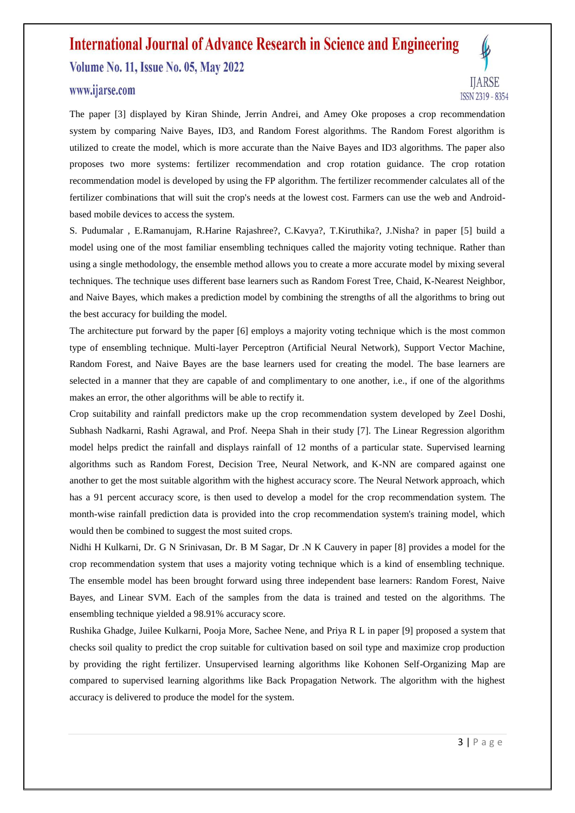**Volume No. 11, Issue No. 05, May 2022** 

### www.ijarse.com



The paper [3] displayed by Kiran Shinde, Jerrin Andrei, and Amey Oke proposes a crop recommendation system by comparing Naive Bayes, ID3, and Random Forest algorithms. The Random Forest algorithm is utilized to create the model, which is more accurate than the Naive Bayes and ID3 algorithms. The paper also proposes two more systems: fertilizer recommendation and crop rotation guidance. The crop rotation recommendation model is developed by using the FP algorithm. The fertilizer recommender calculates all of the fertilizer combinations that will suit the crop's needs at the lowest cost. Farmers can use the web and Androidbased mobile devices to access the system.

S. Pudumalar , E.Ramanujam, R.Harine Rajashree?, C.Kavya?, T.Kiruthika?, J.Nisha? in paper [5] build a model using one of the most familiar ensembling techniques called the majority voting technique. Rather than using a single methodology, the ensemble method allows you to create a more accurate model by mixing several techniques. The technique uses different base learners such as Random Forest Tree, Chaid, K-Nearest Neighbor, and Naive Bayes, which makes a prediction model by combining the strengths of all the algorithms to bring out the best accuracy for building the model.

The architecture put forward by the paper [6] employs a majority voting technique which is the most common type of ensembling technique. Multi-layer Perceptron (Artificial Neural Network), Support Vector Machine, Random Forest, and Naive Bayes are the base learners used for creating the model. The base learners are selected in a manner that they are capable of and complimentary to one another, i.e., if one of the algorithms makes an error, the other algorithms will be able to rectify it.

Crop suitability and rainfall predictors make up the crop recommendation system developed by Zeel Doshi, Subhash Nadkarni, Rashi Agrawal, and Prof. Neepa Shah in their study [7]. The Linear Regression algorithm model helps predict the rainfall and displays rainfall of 12 months of a particular state. Supervised learning algorithms such as Random Forest, Decision Tree, Neural Network, and K-NN are compared against one another to get the most suitable algorithm with the highest accuracy score. The Neural Network approach, which has a 91 percent accuracy score, is then used to develop a model for the crop recommendation system. The month-wise rainfall prediction data is provided into the crop recommendation system's training model, which would then be combined to suggest the most suited crops.

Nidhi H Kulkarni, Dr. G N Srinivasan, Dr. B M Sagar, Dr .N K Cauvery in paper [8] provides a model for the crop recommendation system that uses a majority voting technique which is a kind of ensembling technique. The ensemble model has been brought forward using three independent base learners: Random Forest, Naive Bayes, and Linear SVM. Each of the samples from the data is trained and tested on the algorithms. The ensembling technique yielded a 98.91% accuracy score.

Rushika Ghadge, Juilee Kulkarni, Pooja More, Sachee Nene, and Priya R L in paper [9] proposed a system that checks soil quality to predict the crop suitable for cultivation based on soil type and maximize crop production by providing the right fertilizer. Unsupervised learning algorithms like Kohonen Self-Organizing Map are compared to supervised learning algorithms like Back Propagation Network. The algorithm with the highest accuracy is delivered to produce the model for the system.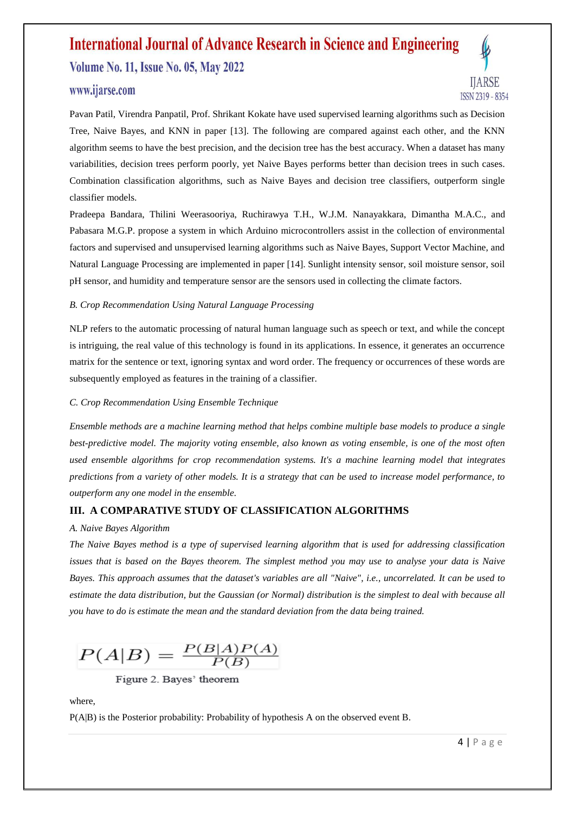**Volume No. 11, Issue No. 05, May 2022** 

### www.ijarse.com



Pavan Patil, Virendra Panpatil, Prof. Shrikant Kokate have used supervised learning algorithms such as Decision Tree, Naive Bayes, and KNN in paper [13]. The following are compared against each other, and the KNN algorithm seems to have the best precision, and the decision tree has the best accuracy. When a dataset has many variabilities, decision trees perform poorly, yet Naive Bayes performs better than decision trees in such cases. Combination classification algorithms, such as Naive Bayes and decision tree classifiers, outperform single classifier models.

Pradeepa Bandara, Thilini Weerasooriya, Ruchirawya T.H., W.J.M. Nanayakkara, Dimantha M.A.C., and Pabasara M.G.P. propose a system in which Arduino microcontrollers assist in the collection of environmental factors and supervised and unsupervised learning algorithms such as Naive Bayes, Support Vector Machine, and Natural Language Processing are implemented in paper [14]. Sunlight intensity sensor, soil moisture sensor, soil pH sensor, and humidity and temperature sensor are the sensors used in collecting the climate factors.

### *B. Crop Recommendation Using Natural Language Processing*

NLP refers to the automatic processing of natural human language such as speech or text, and while the concept is intriguing, the real value of this technology is found in its applications. In essence, it generates an occurrence matrix for the sentence or text, ignoring syntax and word order. The frequency or occurrences of these words are subsequently employed as features in the training of a classifier.

#### *C. Crop Recommendation Using Ensemble Technique*

*Ensemble methods are a machine learning method that helps combine multiple base models to produce a single best-predictive model. The majority voting ensemble, also known as voting ensemble, is one of the most often used ensemble algorithms for crop recommendation systems. It's a machine learning model that integrates predictions from a variety of other models. It is a strategy that can be used to increase model performance, to outperform any one model in the ensemble.*

### **III. A COMPARATIVE STUDY OF CLASSIFICATION ALGORITHMS**

#### *A. Naive Bayes Algorithm*

*The Naive Bayes method is a type of supervised learning algorithm that is used for addressing classification issues that is based on the Bayes theorem. The simplest method you may use to analyse your data is Naive Bayes. This approach assumes that the dataset's variables are all "Naive", i.e., uncorrelated. It can be used to estimate the data distribution, but the Gaussian (or Normal) distribution is the simplest to deal with because all you have to do is estimate the mean and the standard deviation from the data being trained.*

 $P(A|B) = \frac{P(B|A)P(A)}{P(B)}$ 

Figure 2. Bayes' theorem

where,

P(A|B) is the Posterior probability: Probability of hypothesis A on the observed event B.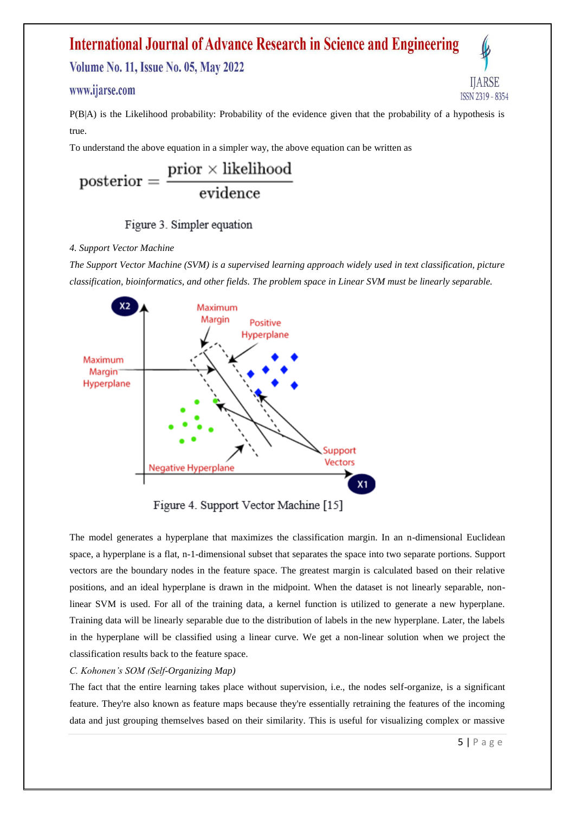**Volume No. 11, Issue No. 05, May 2022** 

### www.ijarse.com

P(B|A) is the Likelihood probability: Probability of the evidence given that the probability of a hypothesis is true.

To understand the above equation in a simpler way, the above equation can be written as

$$
\text{posterior} = \frac{\text{prior} \times \text{likelihood}}{\text{evidence}}
$$

### Figure 3. Simpler equation

### *4. Support Vector Machine*

*The Support Vector Machine (SVM) is a supervised learning approach widely used in text classification, picture classification, bioinformatics, and other fields. The problem space in Linear SVM must be linearly separable.*



The model generates a hyperplane that maximizes the classification margin. In an n-dimensional Euclidean space, a hyperplane is a flat, n-1-dimensional subset that separates the space into two separate portions. Support vectors are the boundary nodes in the feature space. The greatest margin is calculated based on their relative positions, and an ideal hyperplane is drawn in the midpoint. When the dataset is not linearly separable, nonlinear SVM is used. For all of the training data, a kernel function is utilized to generate a new hyperplane. Training data will be linearly separable due to the distribution of labels in the new hyperplane. Later, the labels in the hyperplane will be classified using a linear curve. We get a non-linear solution when we project the classification results back to the feature space.

### *C. Kohonen's SOM (Self-Organizing Map)*

The fact that the entire learning takes place without supervision, i.e., the nodes self-organize, is a significant feature. They're also known as feature maps because they're essentially retraining the features of the incoming data and just grouping themselves based on their similarity. This is useful for visualizing complex or massive

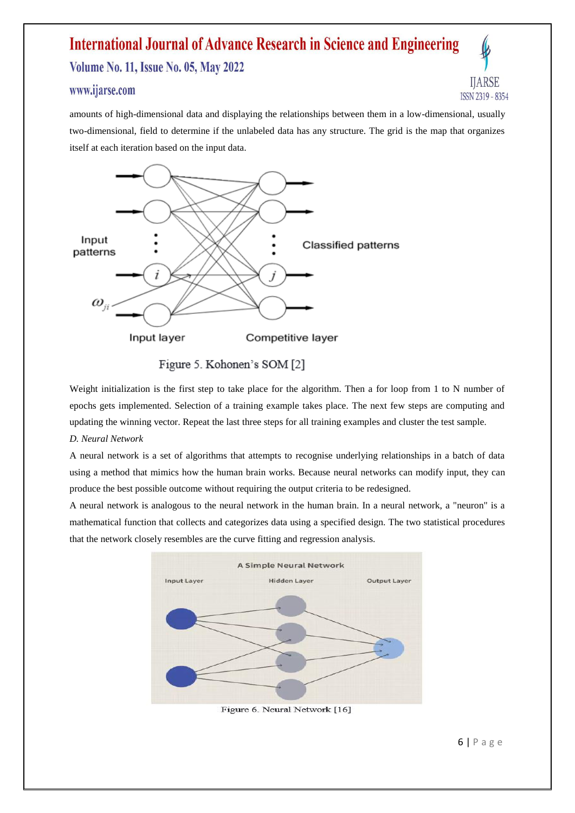**Volume No. 11, Issue No. 05, May 2022** 

### www.ijarse.com



amounts of high-dimensional data and displaying the relationships between them in a low-dimensional, usually two-dimensional, field to determine if the unlabeled data has any structure. The grid is the map that organizes itself at each iteration based on the input data.



Figure 5. Kohonen's SOM [2]

Weight initialization is the first step to take place for the algorithm. Then a for loop from 1 to N number of epochs gets implemented. Selection of a training example takes place. The next few steps are computing and updating the winning vector. Repeat the last three steps for all training examples and cluster the test sample.

*D. Neural Network*

A neural network is a set of algorithms that attempts to recognise underlying relationships in a batch of data using a method that mimics how the human brain works. Because neural networks can modify input, they can produce the best possible outcome without requiring the output criteria to be redesigned.

A neural network is analogous to the neural network in the human brain. In a neural network, a "neuron" is a mathematical function that collects and categorizes data using a specified design. The two statistical procedures that the network closely resembles are the curve fitting and regression analysis.



Figure 6. Neural Network [16]

6 | P a g e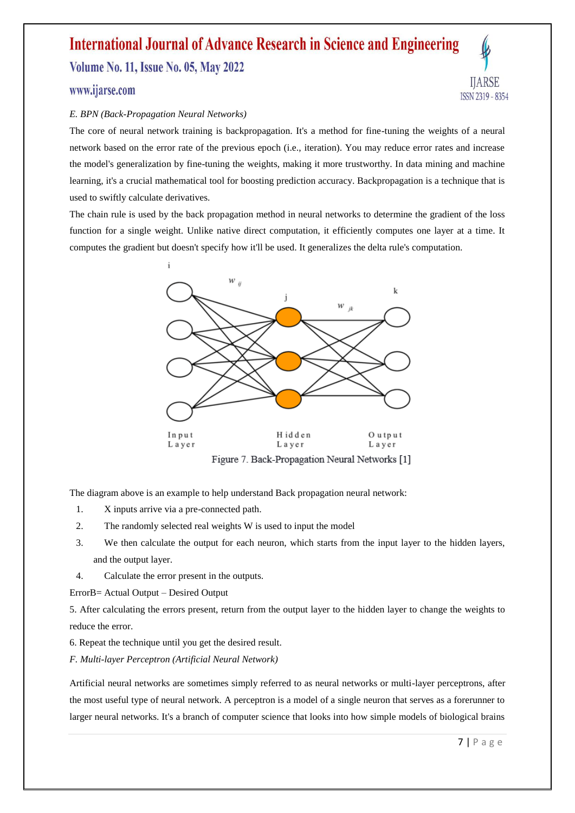**Volume No. 11, Issue No. 05, May 2022** 



### www.ijarse.com

### *E. BPN (Back-Propagation Neural Networks)*

The core of neural network training is backpropagation. It's a method for fine-tuning the weights of a neural network based on the error rate of the previous epoch (i.e., iteration). You may reduce error rates and increase the model's generalization by fine-tuning the weights, making it more trustworthy. In data mining and machine learning, it's a crucial mathematical tool for boosting prediction accuracy. Backpropagation is a technique that is used to swiftly calculate derivatives.

The chain rule is used by the back propagation method in neural networks to determine the gradient of the loss function for a single weight. Unlike native direct computation, it efficiently computes one layer at a time. It computes the gradient but doesn't specify how it'll be used. It generalizes the delta rule's computation.



Figure 7. Back-Propagation Neural Networks [1]

The diagram above is an example to help understand Back propagation neural network:

- 1. X inputs arrive via a pre-connected path.
- 2. The randomly selected real weights W is used to input the model
- 3. We then calculate the output for each neuron, which starts from the input layer to the hidden layers, and the output layer.
- 4. Calculate the error present in the outputs.

ErrorB= Actual Output – Desired Output

5. After calculating the errors present, return from the output layer to the hidden layer to change the weights to reduce the error.

6. Repeat the technique until you get the desired result.

*F. Multi-layer Perceptron (Artificial Neural Network)*

Artificial neural networks are sometimes simply referred to as neural networks or multi-layer perceptrons, after the most useful type of neural network. A perceptron is a model of a single neuron that serves as a forerunner to larger neural networks. It's a branch of computer science that looks into how simple models of biological brains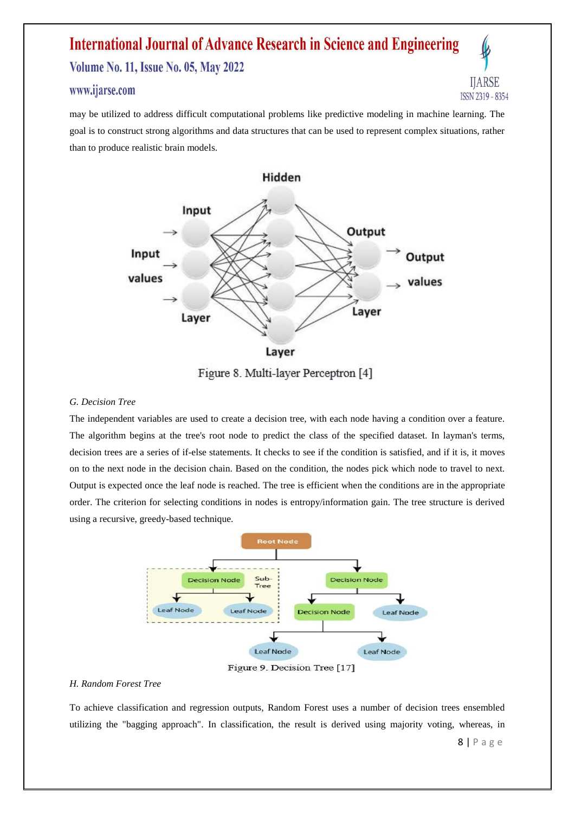### **International Journal of Advance Research in Science and Engineering Volume No. 11, Issue No. 05, May 2022**

### www.ijarse.com



may be utilized to address difficult computational problems like predictive modeling in machine learning. The goal is to construct strong algorithms and data structures that can be used to represent complex situations, rather than to produce realistic brain models.



Figure 8. Multi-layer Perceptron [4]

#### *G. Decision Tree*

The independent variables are used to create a decision tree, with each node having a condition over a feature. The algorithm begins at the tree's root node to predict the class of the specified dataset. In layman's terms, decision trees are a series of if-else statements. It checks to see if the condition is satisfied, and if it is, it moves on to the next node in the decision chain. Based on the condition, the nodes pick which node to travel to next. Output is expected once the leaf node is reached. The tree is efficient when the conditions are in the appropriate order. The criterion for selecting conditions in nodes is entropy/information gain. The tree structure is derived using a recursive, greedy-based technique.



Figure 9. Decision Tree [17]

### *H. Random Forest Tree*

To achieve classification and regression outputs, Random Forest uses a number of decision trees ensembled utilizing the "bagging approach". In classification, the result is derived using majority voting, whereas, in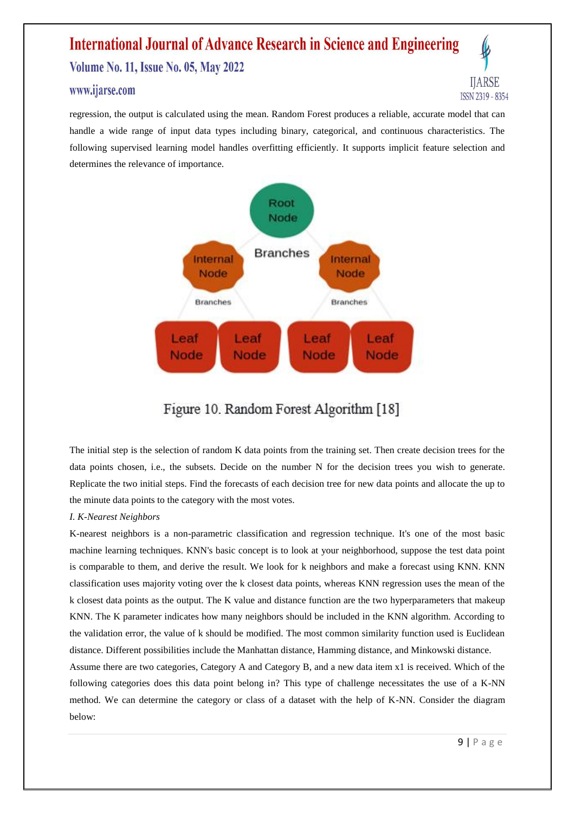### **International Journal of Advance Research in Science and Engineering Volume No. 11, Issue No. 05, May 2022**

### www.ijarse.com

IIARSE ISSN 2319 - 8354

regression, the output is calculated using the mean. Random Forest produces a reliable, accurate model that can handle a wide range of input data types including binary, categorical, and continuous characteristics. The following supervised learning model handles overfitting efficiently. It supports implicit feature selection and determines the relevance of importance.



### Figure 10. Random Forest Algorithm [18]

The initial step is the selection of random K data points from the training set. Then create decision trees for the data points chosen, i.e., the subsets. Decide on the number N for the decision trees you wish to generate. Replicate the two initial steps. Find the forecasts of each decision tree for new data points and allocate the up to the minute data points to the category with the most votes.

### *I. K-Nearest Neighbors*

K-nearest neighbors is a non-parametric classification and regression technique. It's one of the most basic machine learning techniques. KNN's basic concept is to look at your neighborhood, suppose the test data point is comparable to them, and derive the result. We look for k neighbors and make a forecast using KNN. KNN classification uses majority voting over the k closest data points, whereas KNN regression uses the mean of the k closest data points as the output. The K value and distance function are the two hyperparameters that makeup KNN. The K parameter indicates how many neighbors should be included in the KNN algorithm. According to the validation error, the value of k should be modified. The most common similarity function used is Euclidean distance. Different possibilities include the Manhattan distance, Hamming distance, and Minkowski distance.

Assume there are two categories, Category A and Category B, and a new data item x1 is received. Which of the following categories does this data point belong in? This type of challenge necessitates the use of a K-NN method. We can determine the category or class of a dataset with the help of K-NN. Consider the diagram below: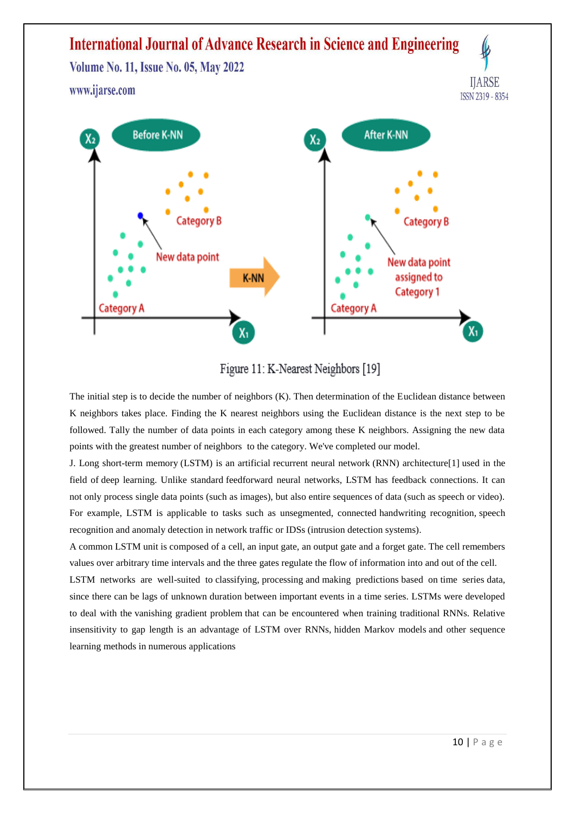

Figure 11: K-Nearest Neighbors [19]

The initial step is to decide the number of neighbors (K). Then determination of the Euclidean distance between K neighbors takes place. Finding the K nearest neighbors using the Euclidean distance is the next step to be followed. Tally the number of data points in each category among these K neighbors. Assigning the new data points with the greatest number of neighbors to the category. We've completed our model.

J. Long short-term memory (LSTM) is an artificial [recurrent neural network](https://en.wikipedia.org/wiki/Recurrent_neural_network) (RNN) architectur[e\[1\]](https://en.wikipedia.org/wiki/Long_short-term_memory#cite_note-lstm1997-1) used in the field of [deep learning.](https://en.wikipedia.org/wiki/Deep_learning) Unlike standard [feedforward neural networks,](https://en.wikipedia.org/wiki/Feedforward_neural_network) LSTM has feedback connections. It can not only process single data points (such as images), but also entire sequences of data (such as speech or video). For example, LSTM is applicable to tasks such as unsegmented, connected [handwriting recognition,](https://en.wikipedia.org/wiki/Handwriting_recognition) [speech](https://en.wikipedia.org/wiki/Speech_recognition)  [recognition](https://en.wikipedia.org/wiki/Speech_recognition) and anomaly detection in network traffic or IDSs (intrusion detection systems).

A common LSTM unit is composed of a cell, an input gate, an output gate and a forget gate. The cell remembers values over arbitrary time intervals and the three gates regulate the flow of information into and out of the cell.

LSTM networks are well-suited to [classifying,](https://en.wikipedia.org/wiki/Classification_in_machine_learning) [processing](https://en.wikipedia.org/wiki/Computer_data_processing) and [making predictions](https://en.wikipedia.org/wiki/Predict) based on [time series](https://en.wikipedia.org/wiki/Time_series) data, since there can be lags of unknown duration between important events in a time series. LSTMs were developed to deal with the [vanishing gradient problem](https://en.wikipedia.org/wiki/Vanishing_gradient_problem) that can be encountered when training traditional RNNs. Relative insensitivity to gap length is an advantage of LSTM over RNNs, [hidden Markov](https://en.wikipedia.org/wiki/Hidden_Markov_models) models and other sequence learning methods in numerous applications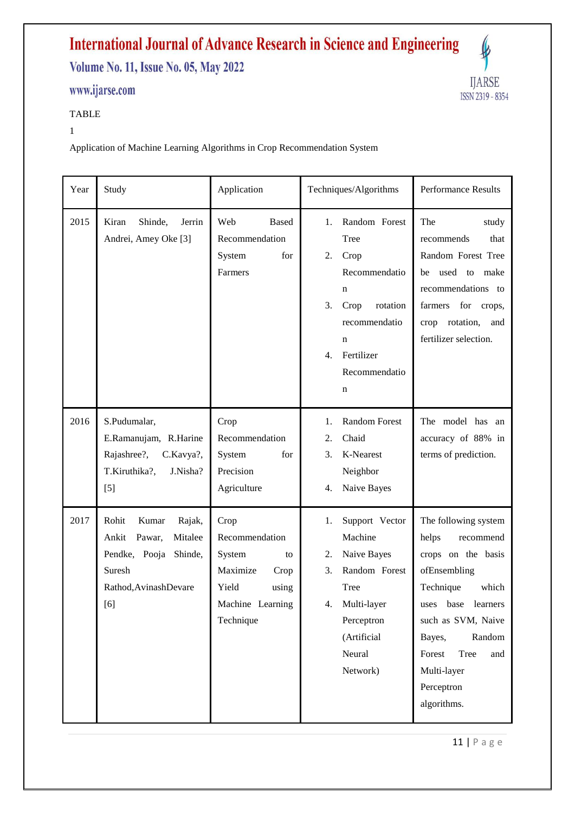**Volume No. 11, Issue No. 05, May 2022** 

### www.ijarse.com



### TABLE

### 1

Application of Machine Learning Algorithms in Crop Recommendation System

| Year | Study                                                                                                                        | Application                                                                                                   | Techniques/Algorithms                                                                                                                                               | Performance Results                                                                                                                                                                                                                         |
|------|------------------------------------------------------------------------------------------------------------------------------|---------------------------------------------------------------------------------------------------------------|---------------------------------------------------------------------------------------------------------------------------------------------------------------------|---------------------------------------------------------------------------------------------------------------------------------------------------------------------------------------------------------------------------------------------|
| 2015 | Shinde,<br>Kiran<br>Jerrin<br>Andrei, Amey Oke [3]                                                                           | Web<br><b>Based</b><br>Recommendation<br>System<br>for<br>Farmers                                             | Random Forest<br>1.<br>Tree<br>2.<br>Crop<br>Recommendatio<br>$\mathbf n$<br>3.<br>Crop<br>rotation<br>recommendatio<br>n<br>Fertilizer<br>4.<br>Recommendatio<br>n | The<br>study<br>that<br>recommends<br>Random Forest Tree<br>be used to make<br>recommendations to<br>farmers<br>for crops,<br>crop rotation,<br>and<br>fertilizer selection.                                                                |
| 2016 | S.Pudumalar,<br>E.Ramanujam, R.Harine<br>Rajashree?,<br>C.Kavya?,<br>J.Nisha?<br>T.Kiruthika?,<br>$[5]$                      | Crop<br>Recommendation<br>System<br>for<br>Precision<br>Agriculture                                           | <b>Random Forest</b><br>1.<br>2.<br>Chaid<br>K-Nearest<br>3.<br>Neighbor<br>Naive Bayes<br>4.                                                                       | The model has an<br>accuracy of 88% in<br>terms of prediction.                                                                                                                                                                              |
| 2017 | Rohit<br>Kumar<br>Rajak,<br>Mitalee<br>Ankit<br>Pawar,<br>Pendke, Pooja<br>Shinde,<br>Suresh<br>Rathod, AvinashDevare<br>[6] | Crop<br>Recommendation<br>System<br>to<br>Maximize<br>Crop<br>Yield<br>using<br>Machine Learning<br>Technique | Support Vector<br>1.<br>Machine<br>Naive Bayes<br>2.<br>3.<br>Random Forest<br>Tree<br>4. Multi-layer<br>Perceptron<br>(Artificial<br>Neural<br>Network)            | The following system<br>helps<br>recommend<br>crops on the basis<br>ofEnsembling<br>Technique<br>which<br>uses base learners<br>such as SVM, Naive<br>Random<br>Bayes,<br>Forest<br>Tree<br>and<br>Multi-layer<br>Perceptron<br>algorithms. |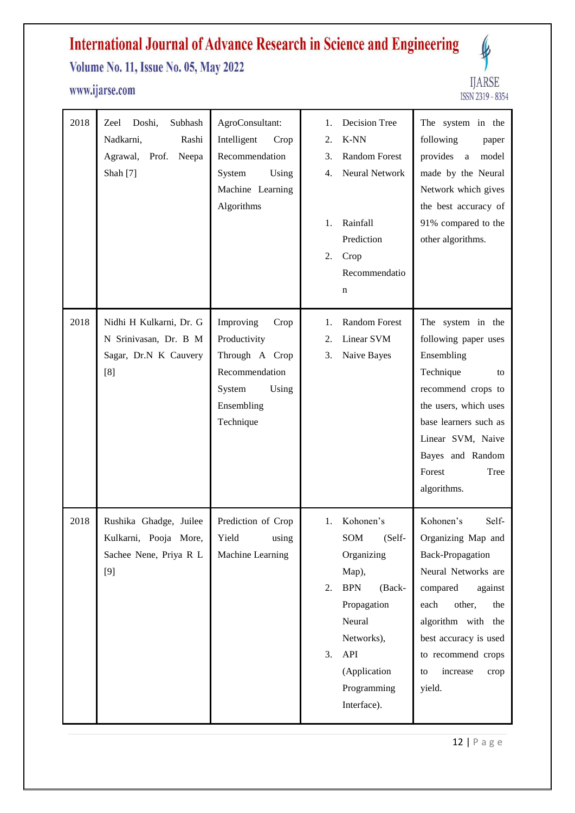### **Volume No. 11, Issue No. 05, May 2022**

### www.ijarse.com



| 2018 | Doshi,<br>Subhash<br>Zeel<br>Nadkarni,<br>Rashi<br>Agrawal,<br>Prof.<br>Neepa<br>Shah [7] | AgroConsultant:<br>Intelligent<br>Crop<br>Recommendation<br>System<br>Using<br>Machine Learning<br>Algorithms       | <b>Decision Tree</b><br>1.<br>K-NN<br>2.<br><b>Random Forest</b><br>3.<br>Neural Network<br>4.<br>Rainfall<br>1.<br>Prediction<br>2.<br>Crop<br>Recommendatio<br>n                      | The system in the<br>following<br>paper<br>provides<br>model<br>a<br>made by the Neural<br>Network which gives<br>the best accuracy of<br>91% compared to the<br>other algorithms.                                                                  |
|------|-------------------------------------------------------------------------------------------|---------------------------------------------------------------------------------------------------------------------|-----------------------------------------------------------------------------------------------------------------------------------------------------------------------------------------|-----------------------------------------------------------------------------------------------------------------------------------------------------------------------------------------------------------------------------------------------------|
| 2018 | Nidhi H Kulkarni, Dr. G<br>N Srinivasan, Dr. B M<br>Sagar, Dr.N K Cauvery<br>[8]          | Improving<br>Crop<br>Productivity<br>Through A Crop<br>Recommendation<br>System<br>Using<br>Ensembling<br>Technique | <b>Random Forest</b><br>1.<br>Linear SVM<br>2.<br>3.<br>Naive Bayes                                                                                                                     | The system in the<br>following paper uses<br>Ensembling<br>Technique<br>to<br>recommend crops to<br>the users, which uses<br>base learners such as<br>Linear SVM, Naive<br>Bayes and Random<br>Forest<br>Tree<br>algorithms.                        |
| 2018 | Rushika Ghadge, Juilee<br>Kulkarni, Pooja More,<br>Sachee Nene, Priya R L<br>$[9]$        | Prediction of Crop<br>Yield<br>using<br>Machine Learning                                                            | Kohonen's<br>1.<br>SOM<br>(Self-<br>Organizing<br>Map),<br><b>BPN</b><br>(Back-<br>2.<br>Propagation<br>Neural<br>Networks),<br>API<br>3.<br>(Application<br>Programming<br>Interface). | Kohonen's<br>Self-<br>Organizing Map and<br><b>Back-Propagation</b><br>Neural Networks are<br>compared<br>against<br>each<br>other,<br>the<br>algorithm with the<br>best accuracy is used<br>to recommend crops<br>increase<br>to<br>crop<br>yield. |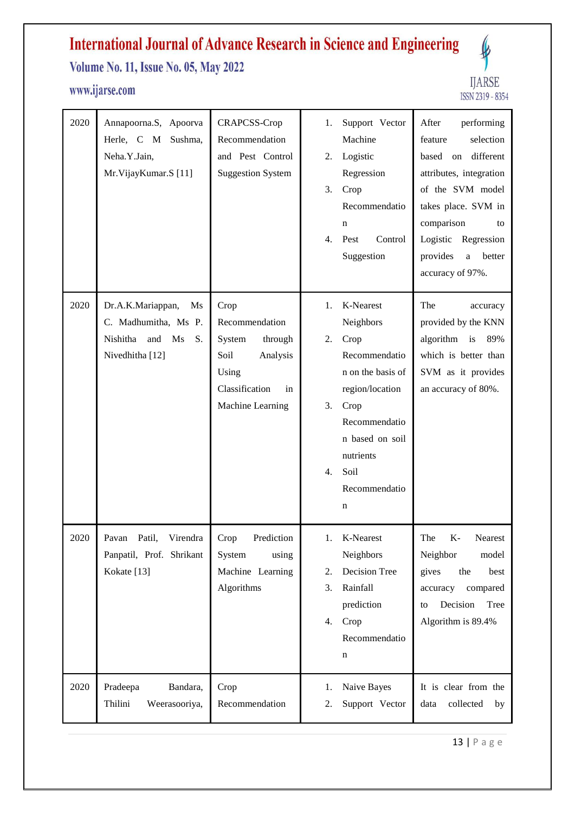**Volume No. 11, Issue No. 05, May 2022** 

### www.ijarse.com



| 2020 | Annapoorna.S, Apoorva<br>Herle, C M Sushma,<br>Neha.Y.Jain,<br>Mr.VijayKumar.S [11]               | CRAPCSS-Crop<br>Recommendation<br>and Pest Control<br><b>Suggestion System</b>                                       | Support Vector<br>1.<br>Machine<br>Logistic<br>2.<br>Regression<br>3.<br>Crop<br>Recommendatio<br>n<br>Control<br>4.<br>Pest<br>Suggestion                                                             | After<br>performing<br>feature<br>selection<br>different<br>based on<br>attributes, integration<br>of the SVM model<br>takes place. SVM in<br>comparison<br>to<br>Logistic Regression<br>provides<br>$\rm{a}$<br>better<br>accuracy of 97%. |
|------|---------------------------------------------------------------------------------------------------|----------------------------------------------------------------------------------------------------------------------|--------------------------------------------------------------------------------------------------------------------------------------------------------------------------------------------------------|---------------------------------------------------------------------------------------------------------------------------------------------------------------------------------------------------------------------------------------------|
| 2020 | Dr.A.K.Mariappan,<br>Ms<br>C. Madhumitha, Ms P.<br>Nishitha<br>and<br>Ms<br>S.<br>Nivedhitha [12] | Crop<br>Recommendation<br>System<br>through<br>Soil<br>Analysis<br>Using<br>Classification<br>in<br>Machine Learning | K-Nearest<br>1.<br>Neighbors<br>Crop<br>2.<br>Recommendatio<br>n on the basis of<br>region/location<br>Crop<br>3.<br>Recommendatio<br>n based on soil<br>nutrients<br>Soil<br>4.<br>Recommendatio<br>n | The<br>accuracy<br>provided by the KNN<br>algorithm is<br>89%<br>which is better than<br>SVM as it provides<br>an accuracy of 80%.                                                                                                          |
| 2020 | Virendra<br>Pavan Patil,<br>Panpatil, Prof. Shrikant<br>Kokate [13]                               | Prediction<br>Crop<br>System<br>using<br>Machine Learning<br>Algorithms                                              | K-Nearest<br>1.<br>Neighbors<br>Decision Tree<br>2.<br>Rainfall<br>3.<br>prediction<br>Crop<br>4.<br>Recommendatio<br>n                                                                                | The<br>K- Nearest<br>Neighbor<br>model<br>the<br>gives<br>best<br>accuracy compared<br>Decision<br>Tree<br>to<br>Algorithm is 89.4%                                                                                                         |
| 2020 | Pradeepa<br>Bandara,<br>Thilini<br>Weerasooriya,                                                  | Crop<br>Recommendation                                                                                               | Naive Bayes<br>1.<br>Support Vector<br>2.                                                                                                                                                              | It is clear from the<br>collected<br>data<br>by                                                                                                                                                                                             |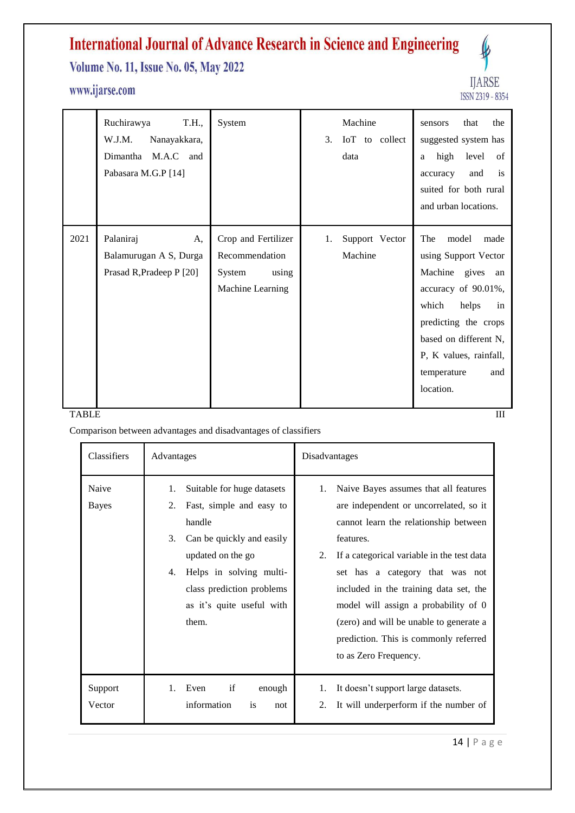**Volume No. 11, Issue No. 05, May 2022** 

### www.ijarse.com



|      | Ruchirawya<br>T.H.,<br>W.J.M.<br>Nanayakkara,<br>Dimantha M.A.C and<br>Pabasara M.G.P [14] | System                                                                       | Machine<br>3.<br>IoT to collect<br>data | that<br>the<br>sensors<br>suggested system has<br>high<br>level<br>of<br>a<br>is<br>and<br>accuracy<br>suited for both rural<br>and urban locations.                                                                          |
|------|--------------------------------------------------------------------------------------------|------------------------------------------------------------------------------|-----------------------------------------|-------------------------------------------------------------------------------------------------------------------------------------------------------------------------------------------------------------------------------|
| 2021 | Palaniraj<br>A,<br>Balamurugan A S, Durga<br>Prasad R, Pradeep P [20]                      | Crop and Fertilizer<br>Recommendation<br>System<br>using<br>Machine Learning | Support Vector<br>1.<br>Machine         | model<br>made<br>The<br>using Support Vector<br>Machine gives an<br>accuracy of 90.01%,<br>which<br>helps<br>in<br>predicting the crops<br>based on different N,<br>P, K values, rainfall,<br>temperature<br>and<br>location. |

### TABLE TO THE TRANSPORTED TO THE TRANSPORTED TO THE TRANSPORTED TO THE TRANSPORTED TO THE TRANSPORTED TO THE TRANSPORTED TO THE TRANSPORTED TO THE TRANSPORTED TO THE TRANSPORTED TO THE TRANSPORTED TO THE TRANSPORTED THE TRA

Comparison between advantages and disadvantages of classifiers

| <b>Classifiers</b>    | Advantages                                                                                                                                                                                                                               | Disadvantages                                                                                                                                                                                                                                                                                                                                                                                                                     |  |
|-----------------------|------------------------------------------------------------------------------------------------------------------------------------------------------------------------------------------------------------------------------------------|-----------------------------------------------------------------------------------------------------------------------------------------------------------------------------------------------------------------------------------------------------------------------------------------------------------------------------------------------------------------------------------------------------------------------------------|--|
| Naive<br><b>Bayes</b> | Suitable for huge datasets<br>1.<br>Fast, simple and easy to<br>2.<br>handle<br>3.<br>Can be quickly and easily<br>updated on the go<br>Helps in solving multi-<br>4.<br>class prediction problems<br>as it's quite useful with<br>them. | Naive Bayes assumes that all features<br>1.<br>are independent or uncorrelated, so it<br>cannot learn the relationship between<br>features.<br>If a categorical variable in the test data<br>2.<br>set has a category that was not<br>included in the training data set, the<br>model will assign a probability of 0<br>(zero) and will be unable to generate a<br>prediction. This is commonly referred<br>to as Zero Frequency. |  |
| Support<br>Vector     | if<br>$1_{-}$<br>Even<br>enough<br>information<br>is<br>not                                                                                                                                                                              | It doesn't support large datasets.<br>1.<br>It will underperform if the number of<br>2.                                                                                                                                                                                                                                                                                                                                           |  |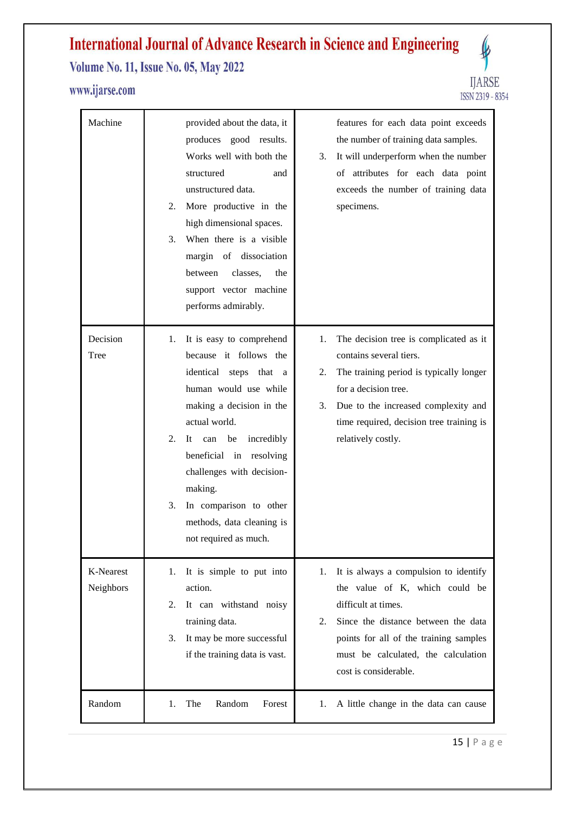**Volume No. 11, Issue No. 05, May 2022** 

### www.ijarse.com



| Machine                | provided about the data, it<br>features for each data point exceeds<br>produces good results.<br>the number of training data samples.<br>Works well with both the<br>It will underperform when the number<br>3.<br>of attributes for each data point<br>structured<br>and<br>unstructured data.<br>exceeds the number of training data<br>More productive in the<br>specimens.<br>2.<br>high dimensional spaces.<br>When there is a visible<br>3.<br>margin of dissociation<br>between<br>classes,<br>the<br>support vector machine<br>performs admirably.                                                                  |
|------------------------|-----------------------------------------------------------------------------------------------------------------------------------------------------------------------------------------------------------------------------------------------------------------------------------------------------------------------------------------------------------------------------------------------------------------------------------------------------------------------------------------------------------------------------------------------------------------------------------------------------------------------------|
| Decision<br>Tree       | It is easy to comprehend<br>The decision tree is complicated as it<br>1.<br>1.<br>because it follows the<br>contains several tiers.<br>identical steps that a<br>The training period is typically longer<br>2.<br>human would use while<br>for a decision tree.<br>making a decision in the<br>Due to the increased complexity and<br>3.<br>actual world.<br>time required, decision tree training is<br>incredibly<br>relatively costly.<br>2.<br>It<br>can<br>be<br>beneficial in resolving<br>challenges with decision-<br>making.<br>3.<br>In comparison to other<br>methods, data cleaning is<br>not required as much. |
| K-Nearest<br>Neighbors | It is simple to put into<br>It is always a compulsion to identify<br>1.<br>1.<br>action.<br>the value of K, which could be<br>difficult at times.<br>It can withstand noisy<br>2.<br>training data.<br>Since the distance between the data<br>2.<br>It may be more successful<br>points for all of the training samples<br>3.<br>must be calculated, the calculation<br>if the training data is vast.<br>cost is considerable.                                                                                                                                                                                              |
| Random                 | The<br>Random<br>Forest<br>A little change in the data can cause<br>1.<br>1.                                                                                                                                                                                                                                                                                                                                                                                                                                                                                                                                                |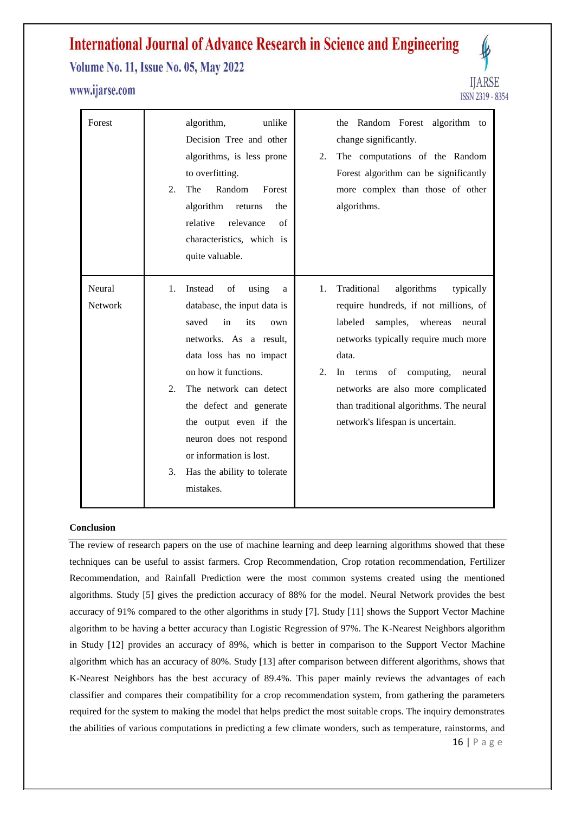**Volume No. 11, Issue No. 05, May 2022** 

### www.ijarse.com



| Forest            | algorithm,<br>unlike<br>the Random Forest algorithm to<br>Decision Tree and other<br>change significantly.<br>algorithms, is less prone<br>The computations of the Random<br>2.<br>to overfitting.<br>Forest algorithm can be significantly<br>Random<br>The<br>Forest<br>more complex than those of other<br>2.<br>algorithm<br>algorithms.<br>the<br>returns<br>relative<br>relevance<br>$\sigma$ f<br>characteristics, which is<br>quite valuable.                                                                                                                                                                                                                                                                                 |
|-------------------|---------------------------------------------------------------------------------------------------------------------------------------------------------------------------------------------------------------------------------------------------------------------------------------------------------------------------------------------------------------------------------------------------------------------------------------------------------------------------------------------------------------------------------------------------------------------------------------------------------------------------------------------------------------------------------------------------------------------------------------|
| Neural<br>Network | algorithms<br>Instead<br>of<br>Traditional<br>1.<br>using<br>typically<br>1.<br>a<br>database, the input data is<br>require hundreds, if not millions, of<br>saved<br>in<br>its<br>labeled<br>samples,<br>whereas<br>neural<br>own<br>networks. As a result,<br>networks typically require much more<br>data loss has no impact<br>data.<br>on how it functions.<br>2.<br>computing,<br>In<br>of<br>neural<br>terms<br>The network can detect<br>networks are also more complicated<br>2.<br>than traditional algorithms. The neural<br>the defect and generate<br>the output even if the<br>network's lifespan is uncertain.<br>neuron does not respond<br>or information is lost.<br>3.<br>Has the ability to tolerate<br>mistakes. |

#### **Conclusion**

The review of research papers on the use of machine learning and deep learning algorithms showed that these techniques can be useful to assist farmers. Crop Recommendation, Crop rotation recommendation, Fertilizer Recommendation, and Rainfall Prediction were the most common systems created using the mentioned algorithms. Study [5] gives the prediction accuracy of 88% for the model. Neural Network provides the best accuracy of 91% compared to the other algorithms in study [7]. Study [11] shows the Support Vector Machine algorithm to be having a better accuracy than Logistic Regression of 97%. The K-Nearest Neighbors algorithm in Study [12] provides an accuracy of 89%, which is better in comparison to the Support Vector Machine algorithm which has an accuracy of 80%. Study [13] after comparison between different algorithms, shows that K-Nearest Neighbors has the best accuracy of 89.4%. This paper mainly reviews the advantages of each classifier and compares their compatibility for a crop recommendation system, from gathering the parameters required for the system to making the model that helps predict the most suitable crops. The inquiry demonstrates the abilities of various computations in predicting a few climate wonders, such as temperature, rainstorms, and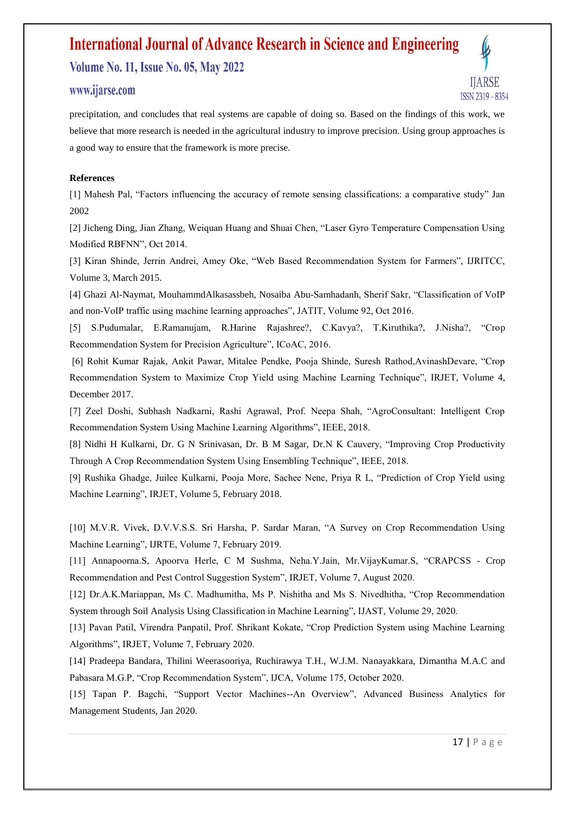**Volume No. 11, Issue No. 05, May 2022** 

### www.ijarse.com



precipitation, and concludes that real systems are capable of doing so. Based on the findings of this work, we believe that more research is needed in the agricultural industry to improve precision. Using group approaches is a good way to ensure that the framework is more precise.

### **References**

[1] Mahesh Pal, "Factors influencing the accuracy of remote sensing classifications: a comparative study" Jan 2002

[2] Jicheng Ding, Jian Zhang, Weiquan Huang and Shuai Chen, "Laser Gyro Temperature Compensation Using Modified RBFNN", Oct 2014.

[3] Kiran Shinde, Jerrin Andrei, Amey Oke, "Web Based Recommendation System for Farmers", IJRITCC, Volume 3, March 2015.

[4] Ghazi Al-Naymat, MouhammdAlkasassbeh, Nosaiba Abu-Samhadanh, Sherif Sakr, "Classification of VoIP and non-VoIP traffic using machine learning approaches", JATIT, Volume 92, Oct 2016.

[5] S.Pudumalar, E.Ramanujam, R.Harine Rajashree?, C.Kavya?, T.Kiruthika?, J.Nisha?, "Crop Recommendation System for Precision Agriculture", ICoAC, 2016.

[6] Rohit Kumar Rajak, Ankit Pawar, Mitalee Pendke, Pooja Shinde, Suresh Rathod,AvinashDevare, "Crop Recommendation System to Maximize Crop Yield using Machine Learning Technique", IRJET, Volume 4, December 2017.

[7] Zeel Doshi, Subhash Nadkarni, Rashi Agrawal, Prof. Neepa Shah, "AgroConsultant: Intelligent Crop Recommendation System Using Machine Learning Algorithms", IEEE, 2018.

[8] Nidhi H Kulkarni, Dr. G N Srinivasan, Dr. B M Sagar, Dr.N K Cauvery, "Improving Crop Productivity Through A Crop Recommendation System Using Ensembling Technique", IEEE, 2018.

[9] Rushika Ghadge, Juilee Kulkarni, Pooja More, Sachee Nene, Priya R L, "Prediction of Crop Yield using Machine Learning", IRJET, Volume 5, February 2018.

[10] M.V.R. Vivek, D.V.V.S.S. Sri Harsha, P. Sardar Maran, "A Survey on Crop Recommendation Using Machine Learning", IJRTE, Volume 7, February 2019.

[11] Annapoorna.S, Apoorva Herle, C M Sushma, Neha.Y.Jain, Mr.VijayKumar.S, "CRAPCSS - Crop Recommendation and Pest Control Suggestion System", IRJET, Volume 7, August 2020.

[12] Dr.A.K.Mariappan, Ms C. Madhumitha, Ms P. Nishitha and Ms S. Nivedhitha, "Crop Recommendation System through Soil Analysis Using Classification in Machine Learning", IJAST, Volume 29, 2020.

[13] Pavan Patil, Virendra Panpatil, Prof. Shrikant Kokate, "Crop Prediction System using Machine Learning Algorithms", IRJET, Volume 7, February 2020.

[14] Pradeepa Bandara, Thilini Weerasooriya, Ruchirawya T.H., W.J.M. Nanayakkara, Dimantha M.A.C and Pabasara M.G.P, "Crop Recommendation System", IJCA, Volume 175, October 2020.

[15] Tapan P. Bagchi, "Support Vector Machines--An Overview", Advanced Business Analytics for Management Students, Jan 2020.